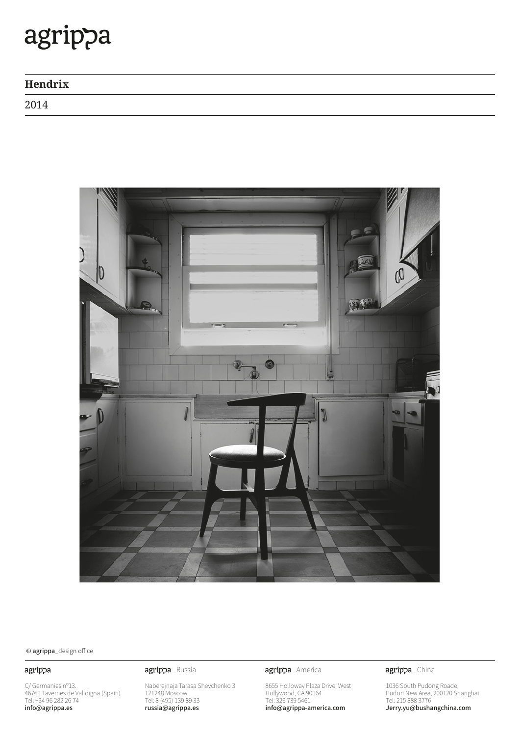| Hendrix |  |
|---------|--|
| 2014    |  |



 $\odot$  agrippa\_design office

## agrippa

C/ Germanies n°13. 46760 Tavernes de Valldigna (Spain)<br>Tel: +34 96 282 26 74 info@agrippa.es

## agrippa\_Russia **agrippa**\_America

Naberejnaja Tarasa Shevchenko 3 121248 Moscow Tel: 8 (495) 139 89 33 russia@agrippa.es

8655 Holloway Plaza Drive, West Hollywood, CA 90064 Tel: 323 739 5461 info@agrippa-america.com

agrippa\_China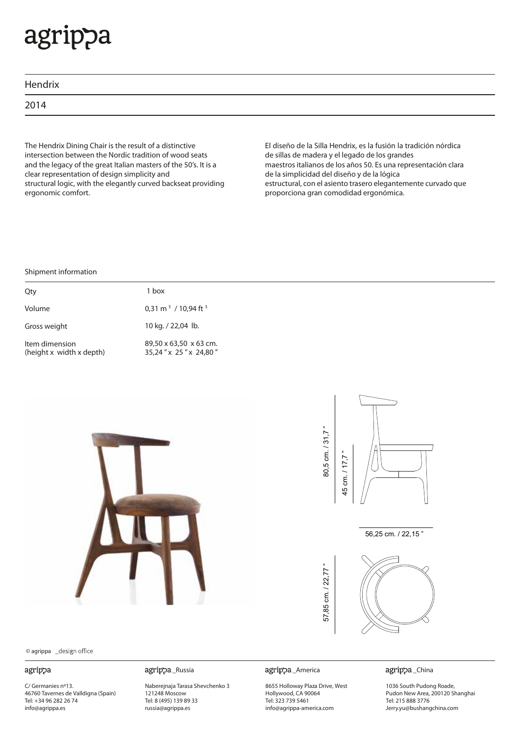| Hendrix |  |  |  |
|---------|--|--|--|
| 2014    |  |  |  |
|         |  |  |  |

The Hendrix Dining Chair is the result of a distinctive intersection between the Nordic tradition of wood seats and the legacy of the great Italian masters of the 50's. It is a clear representation of design simplicity and structural logic, with the elegantly curved backseat providing ergonomic comfort.

El diseño de la Silla Hendrix, es la fusión la tradición nórdica de sillas de madera y el legado de los grandes maestros italianos de los años 50. Es una representación clara de la simplicidad del diseño y de la lógica estructural, con el asiento trasero elegantemente curvado que proporciona gran comodidad ergonómica.

### Shipment information

| Qty                                        | 1 hox                                           |
|--------------------------------------------|-------------------------------------------------|
| Volume                                     | 0,31 m <sup>3</sup> / 10,94 ft <sup>3</sup>     |
| Gross weight                               | 10 kg. / 22,04 lb.                              |
| Item dimension<br>(height x width x depth) | 89,50 x 63,50 x 63 cm.<br>35,24" x 25" x 24,80" |



© agrippa

### agrippa

C/ Germanies nº13. 46760 Tavernes de Valldigna (Spain) Tel: +34 96 282 26 74 info@agrippa.es

### \_Russia \_America

Naberejnaja Tarasa Shevchenko 3 121248 Moscow Tel: 8 (495) 139 89 33 russia@agrippa.es

8655 Holloway Plaza Drive, West Hollywood, CA 90064 Tel: 323 739 5461 info@agrippa-america.com



1036 South Pudong Roade, Pudon New Area, 200120 Shanghai Tel: 215 888 3776 Jerry.yu@bushangchina.com



56,25 cm. / 22,15 "

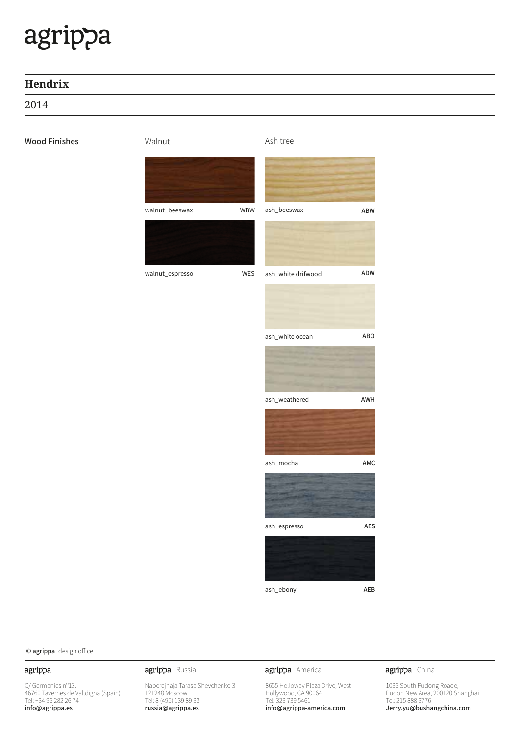# **Hendrix**

2014

## Wood Finishes

Walnut **Ash** tree



 $\odot$  agrippa\_design office

## agrippa

 $C/G$ ermanies n°13. 46760 Tavernes de Valldigna (Spain) Tel: +34 96 282 26 74 info@agrippa.es

Naberejnaja Tarasa Shevchenko 3 121248 Moscow Tel: 8 (495) 139 89 33 russia@agrippa.es

agrippa\_Russia **agrippa**\_America

8655 Holloway Plaza Drive, West Hollywood, CA 90064 Tel: 323 739 5461 info@agrippa-america.com

agrippa\_China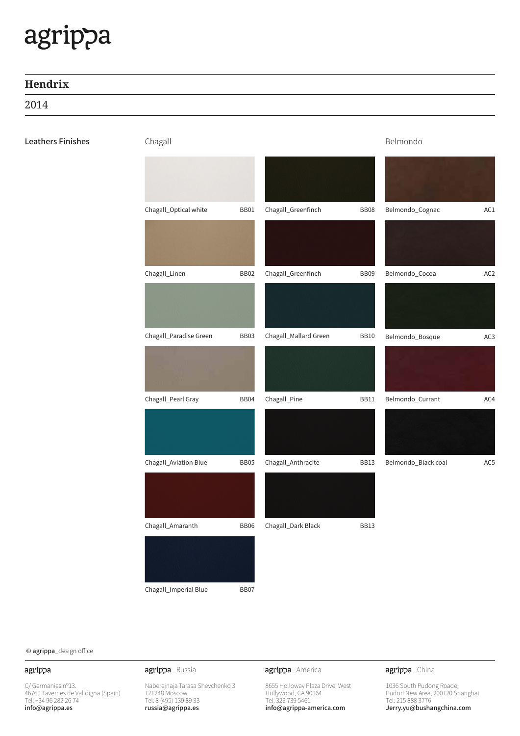# **Hendrix**

2014

# Leathers Finishes **Example 31 Channel Account 1** Chapall **Example 2** Chapall **Example 2 Chapall Example 2 Chapall**

| Chagall_Optical white  | BB01        | Chagall_Greenfinch    | <b>BB08</b> | Belmondo_Cognac     | AC1             |
|------------------------|-------------|-----------------------|-------------|---------------------|-----------------|
|                        |             |                       |             |                     |                 |
| Chagall_Linen          | <b>BB02</b> | Chagall_Greenfinch    | <b>BB09</b> | Belmondo_Cocoa      | AC <sub>2</sub> |
|                        |             |                       |             |                     |                 |
| Chagall_Paradise Green | <b>BB03</b> | Chagall_Mallard Green | <b>BB10</b> | Belmondo_Bosque     | AC <sub>3</sub> |
|                        |             |                       |             |                     |                 |
| Chagall_Pearl Gray     | <b>BB04</b> | Chagall_Pine          | BB11        | Belmondo_Currant    | AC4             |
|                        |             |                       |             |                     |                 |
| Chagall_Aviation Blue  | <b>BB05</b> | Chagall_Anthracite    | BB13        | Belmondo_Black coal | AC5             |
|                        |             |                       |             |                     |                 |
| Chagall_Amaranth       | <b>BB06</b> | Chagall_Dark Black    | BB13        |                     |                 |
|                        |             |                       |             |                     |                 |

Chagall\_Imperial Blue **BB07** 

 $\odot$  agrippa\_design office

## agrippa

C/ Germanies n°13. 46760 Tavernes de Valldigna (Spain)<br>Tel: +34 96 282 26 74 info@agrippa.es

Naberejnaja Tarasa Shevchenko 3 121248 Moscow Tel: 8 (495) 139 89 33 russia@agrippa.es

agrippa\_Russia **agrippa**\_America

8655 Holloway Plaza Drive, West Hollywood, CA 90064 Tel: 323 739 5461 info@agrippa-america.com

agrippa\_China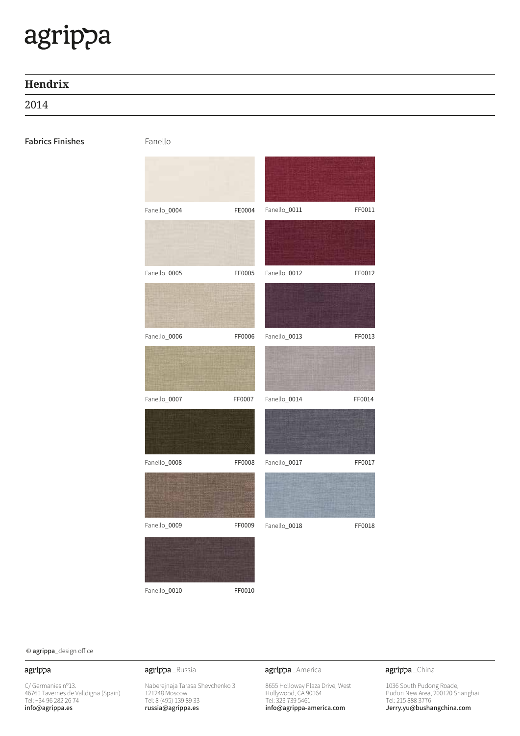# **Hendrix**

2014

# Fabrics Finishes Fanello



Fanello\_0010 FF0010

 $\odot$  agrippa\_design office

## agrippa

 $C/G$ ermanies n°13. 46760 Tavernes de Valldigna (Spain) Tel: +34 96 282 26 74 info@agrippa.es

Naberejnaja Tarasa Shevchenko 3 121248 Moscow Tel: 8 (495) 139 89 33 russia@agrippa.es

agrippa\_Russia **agrippa**\_America

8655 Holloway Plaza Drive, West Hollywood, CA 90064 Tel: 323 739 5461 info@agrippa-america.com

agrippa\_China